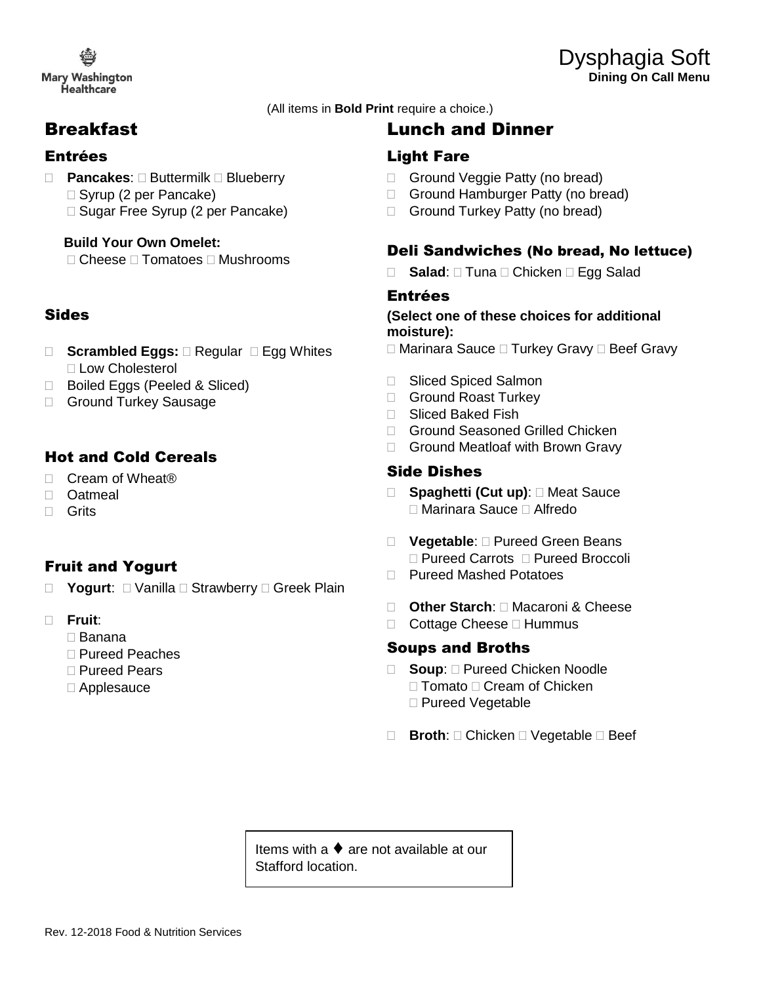**Mary Washington** Healthcare

(All items in **Bold Print** require a choice.)

## Breakfast

#### Entrées

- □ Pancakes: □ Buttermilk □ Blueberry □ Syrup (2 per Pancake)
	- □ Sugar Free Syrup (2 per Pancake)

#### **Build Your Own Omelet:**

 $\Box$  Cheese  $\Box$  Tomatoes  $\Box$  Mushrooms

## Sides

- □ **Scrambled Eggs:** □ Regular □ Egg Whites □ Low Cholesterol
- □ Boiled Eggs (Peeled & Sliced)
- □ Ground Turkey Sausage

## Hot and Cold Cereals

- □ Cream of Wheat<sup>®</sup>
- Oatmeal
- □ Grits

### Fruit and Yogurt

- □ **Yogurt**: □ Vanilla □ Strawberry □ Greek Plain
- **Fruit**:
	- Banana
	- □ Pureed Peaches
	- □ Pureed Pears
	- Applesauce

# Lunch and Dinner

#### Light Fare

- Ground Veggie Patty (no bread)
- □ Ground Hamburger Patty (no bread)
- Ground Turkey Patty (no bread)

#### Deli Sandwiches (No bread, No lettuce)

**Salad**: □ Tuna □ Chicken □ Egg Salad

#### Entrées

#### **(Select one of these choices for additional moisture):**

 $\Box$  Marinara Sauce  $\Box$  Turkey Gravy  $\Box$  Beef Gravy

- □ Sliced Spiced Salmon
- Ground Roast Turkey
- □ Sliced Baked Fish
- □ Ground Seasoned Grilled Chicken
- □ Ground Meatloaf with Brown Gravy

#### Side Dishes

- □ Spaghetti (Cut up): □ Meat Sauce Marinara Sauce Alfredo
- □ **Vegetable**: □ Pureed Green Beans □ Pureed Carrots □ Pureed Broccoli
- □ Pureed Mashed Potatoes
- **Other Starch**: Macaroni & Cheese
- $\Box$  Cottage Cheese  $\Box$  Hummus

#### Soups and Broths

- □ **Soup**: □ Pureed Chicken Noodle  $\Box$  Tomato  $\Box$  Cream of Chicken □ Pureed Vegetable
- **□ Broth:** □ Chicken □ Vegetable □ Beef

Items with a ♦ are not available at our Stafford location.